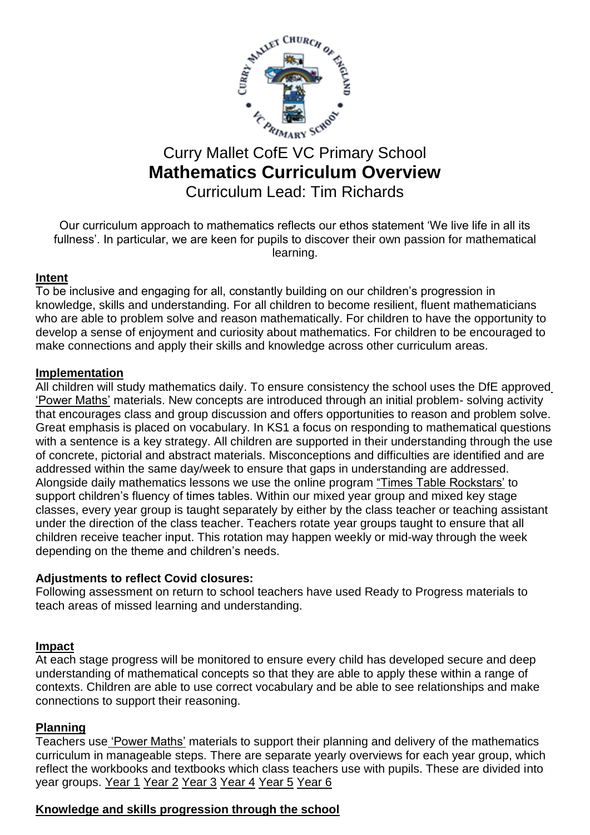

# Curry Mallet CofE VC Primary School **Mathematics Curriculum Overview** Curriculum Lead: Tim Richards

Our curriculum approach to mathematics reflects our ethos statement 'We live life in all its fullness'. In particular, we are keen for pupils to discover their own passion for mathematical learning.

## **Intent**

To be inclusive and engaging for all, constantly building on our children's progression in knowledge, skills and understanding. For all children to become resilient, fluent mathematicians who are able to problem solve and reason mathematically. For children to have the opportunity to develop a sense of enjoyment and curiosity about mathematics. For children to be encouraged to make connections and apply their skills and knowledge across other curriculum areas.

## **Implementation**

All children will study mathematics daily. To ensure consistency the school uses the DfE approve[d](https://www.pearsonschoolsandfecolleges.co.uk/Primary/Mathematics/AllMathematicsresources/Power-Maths/power-maths-mastery.aspx) ['Power Maths'](https://www.pearsonschoolsandfecolleges.co.uk/Primary/Mathematics/AllMathematicsresources/Power-Maths/power-maths-mastery.aspx) materials. New concepts are introduced through an initial problem- solving activity that encourages class and group discussion and offers opportunities to reason and problem solve. Great emphasis is placed on vocabulary. In KS1 a focus on responding to mathematical questions with a sentence is a key strategy. All children are supported in their understanding through the use of concrete, pictorial and abstract materials. Misconceptions and difficulties are identified and are addressed within the same day/week to ensure that gaps in understanding are addressed. Alongside daily mathematics lessons we use the online program ["Times Table Rockstars'](https://ttrockstars.com/) to support children's fluency of times tables. Within our mixed year group and mixed key stage classes, every year group is taught separately by either by the class teacher or teaching assistant under the direction of the class teacher. Teachers rotate year groups taught to ensure that all children receive teacher input. This rotation may happen weekly or mid-way through the week depending on the theme and children's needs.

#### **Adjustments to reflect Covid closures:**

Following assessment on return to school teachers have used Ready to Progress materials to teach areas of missed learning and understanding.

#### **Impact**

At each stage progress will be monitored to ensure every child has developed secure and deep understanding of mathematical concepts so that they are able to apply these within a range of contexts. Children are able to use correct vocabulary and be able to see relationships and make connections to support their reasoning.

# **Planning**

Teachers use ['Power Maths'](https://www.pearsonschoolsandfecolleges.co.uk/Primary/Mathematics/AllMathematicsresources/Power-Maths/power-maths-mastery.aspx) materials to support their planning and delivery of the mathematics curriculum in manageable steps. There are separate yearly overviews for each year group, which reflect the workbooks and textbooks which class teachers use with pupils. These are divided into year groups. [Year 1](file://///RDC3039/Public/Staff/SUBJECT%20AREAS/Numeracy/PowerMaths/Curriculum%20overviews/year_1_overview.pdf) [Year 2](file://///RDC3039/Public/Staff/SUBJECT%20AREAS/Numeracy/PowerMaths/Curriculum%20overviews/year_2_overview.pdf) [Year 3](file://///RDC3039/Public/Staff/SUBJECT%20AREAS/Numeracy/PowerMaths/Curriculum%20overviews/year_3_overview.pdf) [Year 4](file://///RDC3039/Public/Staff/SUBJECT%20AREAS/Numeracy/PowerMaths/Curriculum%20overviews/year_4_overview.pdf) [Year 5](file://///RDC3039/Public/Staff/SUBJECT%20AREAS/Numeracy/PowerMaths/Curriculum%20overviews/year_5_overview.pdf) [Year 6](file://///RDC3039/Public/Staff/SUBJECT%20AREAS/Numeracy/PowerMaths/Curriculum%20overviews/year_6_overview.pdf)

# **Knowledge and skills progression through the school**